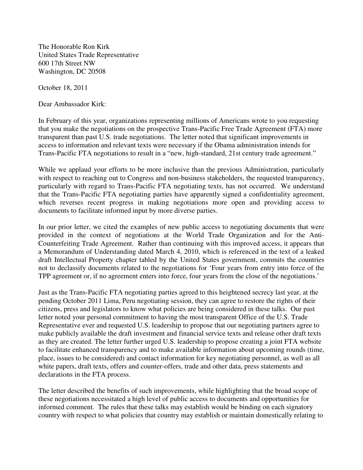The Honorable Ron Kirk United States Trade Representative 600 17th Street NW Washington, DC 20508

October 18, 2011

Dear Ambassador Kirk:

In February of this year, organizations representing millions of Americans wrote to you requesting that you make the negotiations on the prospective Trans-Pacific Free Trade Agreement (FTA) more transparent than past U.S. trade negotiations. The letter noted that significant improvements in access to information and relevant texts were necessary if the Obama administration intends for Trans-Pacific FTA negotiations to result in a "new, high-standard, 21st century trade agreement."

While we applaud your efforts to be more inclusive than the previous Administration, particularly with respect to reaching out to Congress and non-business stakeholders, the requested transparency, particularly with regard to Trans-Pacific FTA negotiating texts, has not occurred. We understand that the Trans-Pacific FTA negotiating parties have apparently signed a confidentiality agreement, which reverses recent progress in making negotiations more open and providing access to documents to facilitate informed input by more diverse parties.

In our prior letter, we cited the examples of new public access to negotiating documents that were provided in the context of negotiations at the World Trade Organization and for the Anti-Counterfeiting Trade Agreement. Rather than continuing with this improved access, it appears that a Memorandum of Understanding dated March 4, 2010, which is referenced in the text of a leaked draft Intellectual Property chapter tabled by the United States government, commits the countries not to declassify documents related to the negotiations for 'Four years from entry into force of the TPP agreement or, if no agreement enters into force, four years from the close of the negotiations.'

Just as the Trans-Pacific FTA negotiating parties agreed to this heightened secrecy last year, at the pending October 2011 Lima, Peru negotiating session, they can agree to restore the rights of their citizens, press and legislators to know what policies are being considered in these talks. Our past letter noted your personal commitment to having the most transparent Office of the U.S. Trade Representative ever and requested U.S. leadership to propose that our negotiating partners agree to make publicly available the draft investment and financial service texts and release other draft texts as they are created. The letter further urged U.S. leadership to propose creating a joint FTA website to facilitate enhanced transparency and to make available information about upcoming rounds (time, place, issues to be considered) and contact information for key negotiating personnel, as well as all white papers, draft texts, offers and counter-offers, trade and other data, press statements and declarations in the FTA process.

The letter described the benefits of such improvements, while highlighting that the broad scope of these negotiations necessitated a high level of public access to documents and opportunities for informed comment. The rules that these talks may establish would be binding on each signatory country with respect to what policies that country may establish or maintain domestically relating to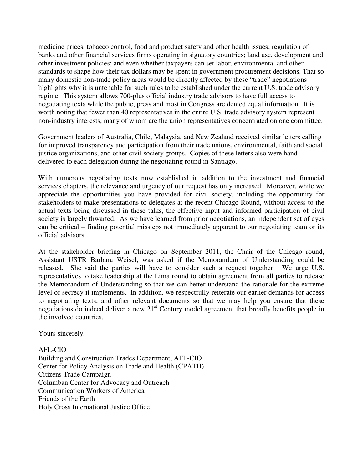medicine prices, tobacco control, food and product safety and other health issues; regulation of banks and other financial services firms operating in signatory countries; land use, development and other investment policies; and even whether taxpayers can set labor, environmental and other standards to shape how their tax dollars may be spent in government procurement decisions. That so many domestic non-trade policy areas would be directly affected by these "trade" negotiations highlights why it is untenable for such rules to be established under the current U.S. trade advisory regime. This system allows 700-plus official industry trade advisors to have full access to negotiating texts while the public, press and most in Congress are denied equal information. It is worth noting that fewer than 40 representatives in the entire U.S. trade advisory system represent non-industry interests, many of whom are the union representatives concentrated on one committee.

Government leaders of Australia, Chile, Malaysia, and New Zealand received similar letters calling for improved transparency and participation from their trade unions, environmental, faith and social justice organizations, and other civil society groups. Copies of these letters also were hand delivered to each delegation during the negotiating round in Santiago.

With numerous negotiating texts now established in addition to the investment and financial services chapters, the relevance and urgency of our request has only increased. Moreover, while we appreciate the opportunities you have provided for civil society, including the opportunity for stakeholders to make presentations to delegates at the recent Chicago Round, without access to the actual texts being discussed in these talks, the effective input and informed participation of civil society is largely thwarted. As we have learned from prior negotiations, an independent set of eyes can be critical – finding potential missteps not immediately apparent to our negotiating team or its official advisors.

At the stakeholder briefing in Chicago on September 2011, the Chair of the Chicago round, Assistant USTR Barbara Weisel, was asked if the Memorandum of Understanding could be released. She said the parties will have to consider such a request together. We urge U.S. representatives to take leadership at the Lima round to obtain agreement from all parties to release the Memorandum of Understanding so that we can better understand the rationale for the extreme level of secrecy it implements. In addition, we respectfully reiterate our earlier demands for access to negotiating texts, and other relevant documents so that we may help you ensure that these negotiations do indeed deliver a new 21<sup>st</sup> Century model agreement that broadly benefits people in the involved countries.

Yours sincerely,

AFL-CIO Building and Construction Trades Department, AFL-CIO Center for Policy Analysis on Trade and Health (CPATH) Citizens Trade Campaign Columban Center for Advocacy and Outreach Communication Workers of America Friends of the Earth Holy Cross International Justice Office